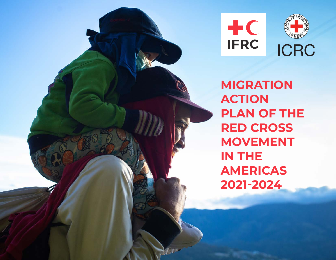



**MIGRATION ACTION PLAN OF THE RED CROSS MOVEMENT IN THE AMERICAS 2021-2024**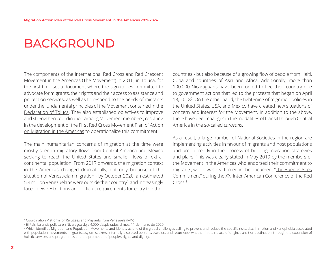## BACKGROUND

The components of the International Red Cross and Red Crescent Movement in the Americas (The Movement) in 2016, in Toluca, for the first time set a document where the signatories committed to advocate for migrants, their rights and their access to assistance and protection services, as well as to respond to the needs of migrants under the fundamental principles of the Movement contained in the [Declaration of Toluca](https://www.icrc.org/en/document/red-cross-movement-calls-states-address-growing-indifference-needs-migrants). They also established objectives to improve and strengthen coordination among Movement members, resulting in the development of the First Red Cross Movement [Plan of Action](https://80ec2942-38cf-421d-866d-006f7b2f6ccd.filesusr.com/ugd/b2c2ad_54c59c5d56c5498aa1031da93d16b6b9.pdf)  [on Migration in the Americas](https://80ec2942-38cf-421d-866d-006f7b2f6ccd.filesusr.com/ugd/b2c2ad_54c59c5d56c5498aa1031da93d16b6b9.pdf) to operationalize this commitment.

The main humanitarian concerns of migration at the time were mostly seen in migratory flows from Central America and Mexico seeking to reach the United States and smaller flows of extracontinental population. From 2017 onwards, the migration context in the Americas changed dramatically, not only because of the situation of Venezuelan migration - by October 2020, an estimated 5.4 million Venezuelans were outside their country<sup>1</sup> and increasingly faced new restrictions and difficult requirements for entry to other

countries - but also because of a growing flow of people from Haiti, Cuba and countries of Asia and Africa. Additionally, more than 100,000 Nicaraguans have been forced to flee their country due to government actions that led to the protests that began on April 18, 2018<sup>2</sup>. On the other hand, the tightening of migration policies in the United States, USA, and Mexico have created new situations of concern and interest for the Movement. In addition to the above, there have been changes in the modalities of transit through Central America in the so-called *caravans*.

As a result, a large number of National Societies in the region are implementing activities in favour of migrants and host populations and are currently in the process of building migration strategies and plans. This was clearly stated in May 2019 by the members of the Movement in the Americas who endorsed their commitment to migrants, which was reaffirmed in the document "[The Buenos Aires](https://3ea6e508-0fc7-4382-9c25-fdd1b477dcf9.filesusr.com/ugd/b2c2ad_8b1592087460440989662d73a5a3e562.pdf) [Commitment](https://3ea6e508-0fc7-4382-9c25-fdd1b477dcf9.filesusr.com/ugd/b2c2ad_8b1592087460440989662d73a5a3e562.pdf)" during the XXI Inter-American Conference of the Red Cross.<sup>3</sup>

<sup>1</sup> [Coordination Platform for Refugees and Migrants from Venezuela \(R4V\)](https://r4v.info/en/situations/platform)

<sup>2</sup> El País, La crisis política en Nicaragua deja 4,000 desplazados al mes, 11 de marzo de 2020.

<sup>&</sup>lt;sup>3</sup> Which identifies Migration and Population Movements and Identity as one of the global challenges calling to prevent and reduce the specific risks, discrimination and xenophobia associated with population movements (migrants, asylum seekers, internally displaced persons, travelers and returnees), whether in their place of origin, transit or destination, through the expansion of holistic services and programmes and the promotion of people's rights and dignity.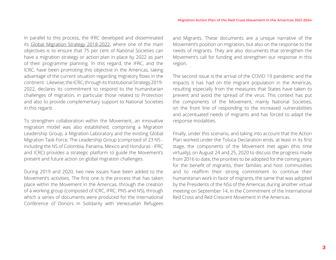In parallel to this process, the IFRC developed and disseminated its [Global Migration Strategy 2018-2022](https://media.ifrc.org/ifrc/wp-content/uploads/sites/5/2017/12/IFRC_StrategyOnMigration_EN_20171222.pdf), where one of the main objectives is to ensure that 75 per cent of National Societies can have a migration strategy or action plan in place by 2022 as part of their programme planning. In this regard, the IFRC, and the ICRC, have been promoting this objective in the Americas, taking advantage of the current situation regarding migratory flows in the continent. Likewise, the ICRC, through its Institutional Strategy 2019- 2022, declares its commitment to respond to the humanitarian challenges of migration, in particular those related to Protection and also to provide complementary support to National Societies in this regard.

To strengthen collaboration within the Movement, an innovative migration model was also established, comprising a Migration Leadership Group, a Migration Laboratory and the existing Global Migration Task Force. The Leadership Group (comprised of 23 NS including the NS of Colombia, Panama, Mexico and Honduras - IFRC and ICRC) provides a strategic platform to guide the Movement's present and future action on global migration challenges.

During 2019 and 2020, two new issues have been added to the Movement's activities. The first one is the process that has taken place within the Movement in the Americas, through the creation of a working group (composed of ICRC, IFRC, PNS and NS), through which a series of documents were produced for the International Conference of Donors in Solidarity with Venezuelan Refugees

and Migrants. These documents are a unique narrative of the Movement's position on migration, but also on the response to the needs of migrants. They are also documents that strengthen the Movement's call for funding and strengthen our response in this region.

The second issue is the arrival of the COVID 19 pandemic and the impacts it has had on the migrant population in the Americas, resulting especially from the measures that States have taken to prevent and avoid the spread of the virus. This context has put the components of the Movement, mainly National Societies, on the front line of responding to the increased vulnerabilities and accentuated needs of migrants and has forced to adapt the response modalities.

Finally, under this scenario, and taking into account that the Action Plan worked under the Toluca Declaration ends, at least in its first stage, the components of the Movement met again (this time virtually), on August 24 and 25, 2020 to discuss the progress made from 2016 to date, the priorities to be adopted for the coming years for the benefit of migrants, their families and host communities and to reaffirm their strong commitment to continue their humanitarian work in favor of migrants, the same that was adopted by the Presidents of the NSs of the Americas during another virtual meeting on September 14, in the Commitment of the International Red Cross and Red Crescent Movement in the Americas.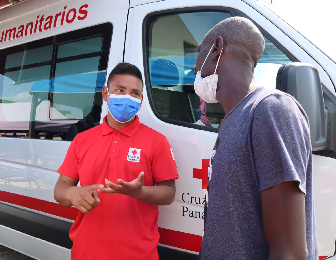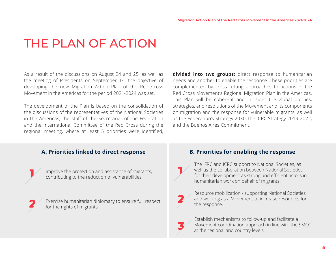# THE PLAN OF ACTION

As a result of the discussions on August 24 and 25, as well as the meeting of Presidents on September 14, the objective of developing the new Migration Action Plan of the Red Cross Movement in the Americas for the period 2021-2024 was set.

The development of the Plan is based on the consolidation of the discussions of the representatives of the National Societies in the Americas, the staff of the Secretariat of the Federation and the International Committee of the Red Cross during the regional meeting, where at least 5 priorities were identified,

divided into two groups: direct response to humanitarian needs and another to enable the response. These priorities are complemented by cross-cutting approaches to actions in the Red Cross Movement's Regional Migration Plan in the Americas. This Plan will be coherent and consider the global policies, strategies, and resolutions of the Movement and its components on migration and the response for vulnerable migrants, as well as the Federation's Strategy 2030, the ICRC Strategy 2019-2022, and the Buenos Aires Commitment.

### **A. Priorities linked to direct response**



Improve the protection and assistance of migrants, contributing to the reduction of vulnerabilities



Exercise humanitarian diplomacy to ensure full respect for the rights of migrants.

#### **B. Priorities for enabling the response**



The IFRC and ICRC support to National Societies, as well as the collaboration between National Societies for their development as strong and efficient actors in humanitarian work on behalf of migrants.



Resource mobilization - supporting National Societies and working as a Movement to increase resources for the response.



Establish mechanisms to follow-up and facilitate a Movement coordination approach in line with the SMCC at the regional and country levels.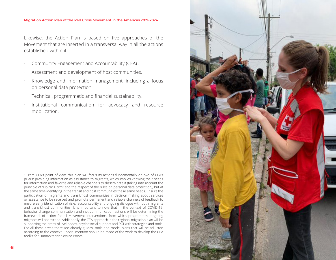Likewise, the Action Plan is based on five approaches of the Movement that are inserted in a transversal way in all the actions established within it:

- Community Engagement and Accountability (CEA) .
- Assessment and development of host communities.
- Knowledge and information management, including a focus on personal data protection.
- Technical, programmatic and financial sustainability.
- Institutional communication for advocacy and resource mobilization.



<sup>4</sup> From CEA's point of view, this plan will focus its actions fundamentally on two of CEA's pillars: providing information as assistance to migrants, which implies knowing their needs for information and favorite and reliable channels to disseminate it (taking into account the principle of "Do No Harm" and the respect of the rules on personal data protection), but at the same time identifying in the transit and host communities these same needs. Ensure the participation of migrants and transit/host communities in decision making about services or assistance to be received and promote permanent and reliable channels of feedback to ensure early identification of risks, accountability and ongoing dialogue with both migrants and transit/host communities. It is important to note that in the context of COVID-19, behavior change communication and risk communication actions will be determining the framework of action for all Movement interventions, from which programmes targeting migrants will not escape. Additionally, the CEA approach in the regional migration plan will be supporting the areas of livelihoods, psychosocial support and PGI with strategies and tools. For all these areas there are already guides, tools and model plans that will be adjusted according to the context. Special mention should be made of the work to develop the CEA toolkit for Humanitarian Service Points.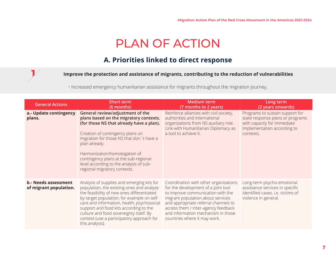## PLAN OF ACTION

## **A. Priorities linked to direct response**

 **Improve the protection and assistance of migrants, contributing to the reduction of vulnerabilities**

• Increased emergency humanitarian assistance for migrants throughout the migration journey.

**1**

| <b>General Actions</b>                         | <b>Short term</b><br>(6 months)                                                                                                                                                                                                                                                                                                                                                        | <b>Medium term</b><br>(7 months to 2 years)                                                                                                                                                                                                                                                                 | Long term<br>(2 years onwards)                                                                                                                 |
|------------------------------------------------|----------------------------------------------------------------------------------------------------------------------------------------------------------------------------------------------------------------------------------------------------------------------------------------------------------------------------------------------------------------------------------------|-------------------------------------------------------------------------------------------------------------------------------------------------------------------------------------------------------------------------------------------------------------------------------------------------------------|------------------------------------------------------------------------------------------------------------------------------------------------|
| a.- Update contingency<br>plans.               | General review/adjustment of the<br>plans based on the migratory contexts.<br>(for those NS that already have a plan).<br>Creation of contingency plans on<br>migration for those NS that don't have a<br>plan already.<br>Harmonization/homologation of<br>contingency plans at the sub-regional<br>level according to the analysis of sub-<br>regional migratory contexts.           | Reinforce alliances with civil society,<br>authorities and international<br>organizations from NS auxiliary role.<br>Link with Humanitarian Diplomacy as<br>a tool to achieve it.                                                                                                                           | Programs to sustain support for<br>state response plans or programs<br>with capacity for immediate<br>implementation according to<br>contexts. |
| b.- Needs assessment<br>of migrant population. | Analysis of supplies and emerging kits for<br>population, the existing ones and analyze<br>the feasibility of new ones differentiated<br>by target population, for example on self-<br>care and information, health, psychosocial<br>support and food kits according to the<br>culture and food sovereignty itself. By<br>context (use a participatory approach for<br>this analysis). | Coordination with other organizations<br>for the development of a joint tool<br>to improve communication with the<br>migrant population about services<br>and appropriate referral channels to<br>access them / Inter-agency feedback<br>and information mechanism in those<br>countries where it may work. | Long-term psycho-emotional<br>assistance services in specific<br>identified cases, i.e. victims of<br>violence in general.                     |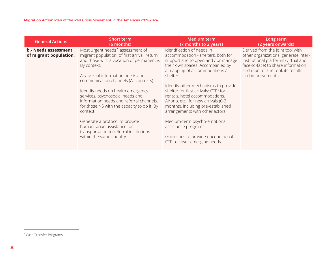| <b>General Actions</b>                         | <b>Short term</b>                                                                                                                                                                                                                                                                                                                                                                                                                                                                                                                                   | <b>Medium term</b>                                                                                                                                                                                                                                                                                                                                                                                                                                                                                                                                                     | Long term                                                                                                                                                                                                        |
|------------------------------------------------|-----------------------------------------------------------------------------------------------------------------------------------------------------------------------------------------------------------------------------------------------------------------------------------------------------------------------------------------------------------------------------------------------------------------------------------------------------------------------------------------------------------------------------------------------------|------------------------------------------------------------------------------------------------------------------------------------------------------------------------------------------------------------------------------------------------------------------------------------------------------------------------------------------------------------------------------------------------------------------------------------------------------------------------------------------------------------------------------------------------------------------------|------------------------------------------------------------------------------------------------------------------------------------------------------------------------------------------------------------------|
|                                                | (6 months)                                                                                                                                                                                                                                                                                                                                                                                                                                                                                                                                          | (7 months to 2 years)                                                                                                                                                                                                                                                                                                                                                                                                                                                                                                                                                  | (2 years onwards)                                                                                                                                                                                                |
| b.- Needs assessment<br>of migrant population. | Most urgent needs' assessment of<br>migrant population: of first arrival, return<br>and those with a vocation of permanence.<br>By context.<br>Analysis of information needs and<br>communication channels (All contexts).<br>Identify needs on health emergency<br>services, psychosocial needs and<br>information needs and referral channels,<br>for those NS with the capacity to do it. By<br>context.<br>Generate a protocol to provide<br>humanitarian assistance for<br>transportation to referral institutions<br>within the same country. | Identification of needs in<br>accommodation - shelters, both for<br>support and to open and / or manage<br>their own spaces. Accompanied by<br>a mapping of accommodations /<br>shelters.<br>Identify other mechanisms to provide<br>shelter for first arrivals: CTP <sup>5</sup> for<br>rentals, hotel accommodations,<br>Airbnb, etc., for new arrivals (0-3<br>months), including pre-established<br>arrangements with other actors.<br>Medium-term psycho-emotional<br>assistance programs.<br>Guidelines to provide unconditional<br>CTP to cover emerging needs. | Derived from the joint tool with<br>other organizations, generate inter-<br>institutional platforms (virtual and<br>face-to-face) to share information<br>and monitor the tool, its results<br>and improvements. |

<sup>5</sup> Cash Transfer Programs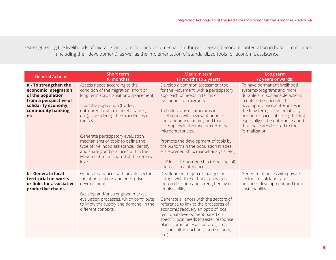• Strengthening the livelihoods of migrants and communities, as a mechanism for recovery and economic integration in host communities (including their development), as well as the implementation of standardized tools for economic assistance.

| <b>General Actions</b>                                                                                                                           | <b>Short term</b><br>(6 months)                                                                                                                                                                                                                                                                                                                                                                                                                              | <b>Medium term</b><br>(7 months to 2 years)                                                                                                                                                                                                                                                                                                                                                                                                                                                                     | Long term<br>(2 years onwards)                                                                                                                                                                                                                                                                                                  |
|--------------------------------------------------------------------------------------------------------------------------------------------------|--------------------------------------------------------------------------------------------------------------------------------------------------------------------------------------------------------------------------------------------------------------------------------------------------------------------------------------------------------------------------------------------------------------------------------------------------------------|-----------------------------------------------------------------------------------------------------------------------------------------------------------------------------------------------------------------------------------------------------------------------------------------------------------------------------------------------------------------------------------------------------------------------------------------------------------------------------------------------------------------|---------------------------------------------------------------------------------------------------------------------------------------------------------------------------------------------------------------------------------------------------------------------------------------------------------------------------------|
| a.- To strengthen the<br>economic integration<br>of the population<br>from a perspective of<br>solidarity economy,<br>community banking,<br>etc. | Assess needs according to the<br>condition of the migration (short or<br>long term stay, transit or displacement).<br>Train the population (trades,<br>entrepreneurship, market analysis,<br>etc.); considering the experiences of<br>the NS.<br>Generate participatory evaluation<br>mechanisms or tools to define the<br>type of livelihood assistance. Identify<br>and share good practices within the<br>Movement to be shared at the regional<br>level. | Develop a common assessment tool<br>for the Movement, with a participatory<br>approach of needs in terms of<br>livelihoods for migrants.<br>To build plans or programs in<br>Livelihoods with a view of popular<br>and solidarity economy and that<br>accompany in the medium term the<br>microenterprises.<br>Promote the development of tools by<br>the NS to train the population (trades,<br>entrepreneurship, market analysis, etc.).<br>CTP for entrepreneurship (seed capital)<br>and basic maintenance. | To have permanent livelihood<br>systems/programs and more<br>durable and sustainable actions<br>- centered on people, that<br>accompany microenterprises in<br>the long term, to systematically<br>promote spaces of strengthening,<br>especially of the enterprises, and<br>that these are directed to their<br>formalization. |
| b.- Generate local<br>territorial networks<br>or links for associative<br>productive chains                                                      | Generate alliances with private sectors<br>for labor relations and enterprise<br>development.<br>Develop and/or strengthen market<br>evaluation processes, which contribute<br>to know the supply and demand, in the<br>different contexts.                                                                                                                                                                                                                  | Development of job exchanges or<br>linkage with those that already exist<br>for a redirection and strengthening of<br>employability.<br>Generate alliances with the sectors of<br>reference to link to the processes of<br>economic recovery an optic of local<br>territorial development based on<br>specific local needs (disaster response<br>plans, community action programs,<br>artistic-cultural actions, food security,<br>etc.).                                                                       | Generate alliances with private<br>sectors to link labor and<br>business development and their<br>sustainability.                                                                                                                                                                                                               |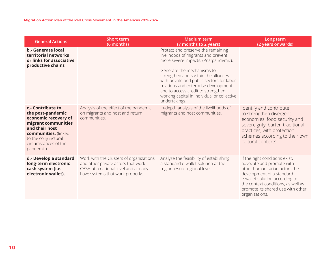| <b>General Actions</b>                                                                                                                                                                      | <b>Short term</b><br>(6 months)                                                                                                                           | <b>Medium term</b><br>(7 months to 2 years)                                                                                                                                                                                                                                                                                                                                        | Long term<br>(2 years onwards)                                                                                                                                                                                                                           |
|---------------------------------------------------------------------------------------------------------------------------------------------------------------------------------------------|-----------------------------------------------------------------------------------------------------------------------------------------------------------|------------------------------------------------------------------------------------------------------------------------------------------------------------------------------------------------------------------------------------------------------------------------------------------------------------------------------------------------------------------------------------|----------------------------------------------------------------------------------------------------------------------------------------------------------------------------------------------------------------------------------------------------------|
| b.- Generate local<br>territorial networks<br>or links for associative<br>productive chains                                                                                                 |                                                                                                                                                           | Protect and preserve the remaining<br>livelihoods of migrants and prevent<br>more severe impacts. (Postpandemic).<br>Generate the mechanisms to<br>strengthen and sustain the alliances<br>with private and public sectors for labor<br>relations and enterprise development<br>and to access credit to strengthen<br>working capital in individual or collective<br>undertakings. |                                                                                                                                                                                                                                                          |
| c.- Contribute to<br>the post-pandemic<br>economic recovery of<br>migrant communities<br>and their host<br>communities. (linked<br>to the conjunctural<br>circumstances of the<br>pandemic) | Analysis of the effect of the pandemic<br>on migrants and host and return<br>communities.                                                                 | In-depth analysis of the livelihoods of<br>migrants and host communities.                                                                                                                                                                                                                                                                                                          | Identify and contribute<br>to strengthen divergent<br>economies: food security and<br>sovereignty, barter, traditional<br>practices, with protection<br>schemes according to their own<br>cultural contexts.                                             |
| d.- Develop a standard<br>long-term electronic<br>cash system (i.e.<br>electronic wallet).                                                                                                  | Work with the Clusters of organizations<br>and other private actors that work<br>CASH at a national level and already<br>have systems that work properly. | Analyze the feasibility of establishing<br>a standard e-wallet solution at the<br>regional/sub-regional level.                                                                                                                                                                                                                                                                     | If the right conditions exist,<br>advocate and promote with<br>other humanitarian actors the<br>development of a standard<br>e-wallet solution according to<br>the context conditions, as well as<br>promote its shared use with other<br>organizations. |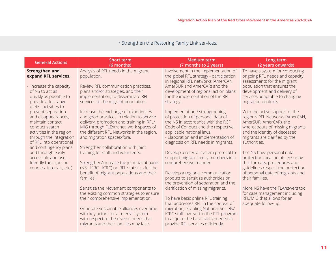### • Strengthen the Restoring Family Link services.

| <b>General Actions</b>                                                                                                                                                                                                                                                                                                                                                                                                                                                     | <b>Short term</b>                                                                                                                                                                                                                                                                                                                                                                                                                                                                                                                                                                                                                                                                                                                                                                                                                                                                                                                                                                                        | <b>Medium term</b>                                                                                                                                                                                                                                                                                                                                                                                                                                                                                                                                                                                                                                                                                                                                                                                                                                                                                                                                                                                                           | Long term                                                                                                                                                                                                                                                                                                                                                                                                                                                                                                                                                                                                                                                                                                                                                        |
|----------------------------------------------------------------------------------------------------------------------------------------------------------------------------------------------------------------------------------------------------------------------------------------------------------------------------------------------------------------------------------------------------------------------------------------------------------------------------|----------------------------------------------------------------------------------------------------------------------------------------------------------------------------------------------------------------------------------------------------------------------------------------------------------------------------------------------------------------------------------------------------------------------------------------------------------------------------------------------------------------------------------------------------------------------------------------------------------------------------------------------------------------------------------------------------------------------------------------------------------------------------------------------------------------------------------------------------------------------------------------------------------------------------------------------------------------------------------------------------------|------------------------------------------------------------------------------------------------------------------------------------------------------------------------------------------------------------------------------------------------------------------------------------------------------------------------------------------------------------------------------------------------------------------------------------------------------------------------------------------------------------------------------------------------------------------------------------------------------------------------------------------------------------------------------------------------------------------------------------------------------------------------------------------------------------------------------------------------------------------------------------------------------------------------------------------------------------------------------------------------------------------------------|------------------------------------------------------------------------------------------------------------------------------------------------------------------------------------------------------------------------------------------------------------------------------------------------------------------------------------------------------------------------------------------------------------------------------------------------------------------------------------------------------------------------------------------------------------------------------------------------------------------------------------------------------------------------------------------------------------------------------------------------------------------|
|                                                                                                                                                                                                                                                                                                                                                                                                                                                                            | (6 months)                                                                                                                                                                                                                                                                                                                                                                                                                                                                                                                                                                                                                                                                                                                                                                                                                                                                                                                                                                                               | (7 months to 2 years)                                                                                                                                                                                                                                                                                                                                                                                                                                                                                                                                                                                                                                                                                                                                                                                                                                                                                                                                                                                                        | (2 years onwards)                                                                                                                                                                                                                                                                                                                                                                                                                                                                                                                                                                                                                                                                                                                                                |
| <b>Strengthen and</b><br>expand RFL services.<br>- Increase the capacity<br>of NS to act as<br>quickly as possible to<br>provide a full range<br>of RFL activities to<br>prevent separation<br>and disappearances,<br>maintain contact,<br>conduct search<br>activities in the region<br>through the integration<br>of RFL into operational<br>and contingency plans<br>and through easily<br>accessible and user-<br>friendly tools (online<br>courses, tutorials, etc.). | Analysis of RFL needs in the migrant<br>population.<br>Review RFL communication practices,<br>plans and/or strategies, and their<br>implementation, to disseminate RFL<br>services to the migrant population.<br>Increase the exchange of experiences<br>and good practices in relation to service<br>delivery, promotion and training in RFL/<br>MIG through FLExtranet, work spaces of<br>the different RFL Networks in the region,<br>and migration spaces/fora.<br>Strengthen collaboration with joint<br>training for staff and volunteers.<br>Strengthen/increase the joint dashboards<br>(NS - IFRC - ICRC) on RFL statistics for the<br>benefit of migrant populations and their<br>families.<br>Sensitize the Movement components to<br>the existing common strategies to ensure<br>their comprehensive implementation.<br>Generate sustainable alliances over time<br>with key actors for a referral system<br>with respect to the diverse needs that<br>migrants and their families may face. | Involvement in the implementation of<br>the global RFL strategy - participation<br>in regional RFL networks (AmerCAN,<br>AmerSUR and AmerCAR) and the<br>development of regional action plans<br>for the implementation of the RFL<br>strategy.<br>Implementation / strengthening<br>of protection of personal data of<br>the NS in accordance with the RCF<br>Code of Conduct and the respective<br>applicable national laws.<br>- Elaboration and implementation of<br>diagnosis on RFL needs in migrants.<br>Develop a referral system protocol to<br>support migrant family members in a<br>comprehensive manner.<br>Develop a regional communication<br>product to sensitize authorities on<br>the prevention of separation and the<br>clarification of missing migrants.<br>To have basic online RFL training<br>that addresses RFL in the context of<br>migration, enabling National Society/<br>ICRC staff involved in the RFL program<br>to acquire the basic skills needed to<br>provide RFL services efficiently. | To have a system for conducting<br>ongoing RFL needs and capacity<br>assessments for the migrant<br>population that ensures the<br>development and delivery of<br>services adaptable to changing<br>migration contexts.<br>With the active support of the<br>region's RFL Networks (AmerCAN,<br>AmerSUR, AmerCAR), the<br>whereabouts of missing migrants<br>and the identity of deceased<br>migrants are clarified by the<br>authorities.<br>The NS have personal data<br>protection focal points ensuring<br>that formats, procedures and<br>guidelines respect the protection<br>of personal data of migrants and<br>their families.<br>More NS have the FLAnswers tool<br>for case management including<br>RFL/MIG that allows for an<br>adequate follow-up. |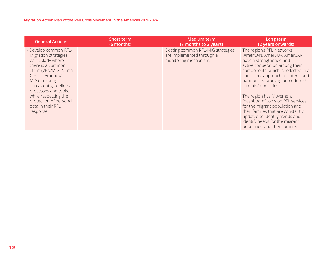| <b>General Actions</b>                                                                                                                                                                                                                                                                          | <b>Short term</b> | <b>Medium term</b>                                                                       | Long term                                                                                                                                                                                                                                                                                                                                                                                                                                                                                                  |
|-------------------------------------------------------------------------------------------------------------------------------------------------------------------------------------------------------------------------------------------------------------------------------------------------|-------------------|------------------------------------------------------------------------------------------|------------------------------------------------------------------------------------------------------------------------------------------------------------------------------------------------------------------------------------------------------------------------------------------------------------------------------------------------------------------------------------------------------------------------------------------------------------------------------------------------------------|
|                                                                                                                                                                                                                                                                                                 | (6 months)        | (7 months to 2 years)                                                                    | (2 years onwards)                                                                                                                                                                                                                                                                                                                                                                                                                                                                                          |
| - Develop common RFL/<br>Migration strategies,<br>particularly where<br>there is a common<br>effort (VEN/MIG, North<br>Central America/<br>MIG), ensuring<br>consistent guidelines,<br>processes and tools,<br>while respecting the<br>protection of personal<br>data in their RFL<br>response. |                   | Existing common RFL/MIG strategies<br>are implemented through a<br>monitoring mechanism. | The region's RFL Networks<br>(AmerCAN, AmerSUR, AmerCAR)<br>have a strengthened and<br>active cooperation among their<br>components, which is reflected in a<br>consistent approach to criteria and<br>harmonized working procedures/<br>formats/modalities.<br>The region has Movement<br>"dashboard" tools on RFL services<br>for the migrant population and<br>their families that are constantly<br>updated to identify trends and<br>identify needs for the migrant<br>population and their families. |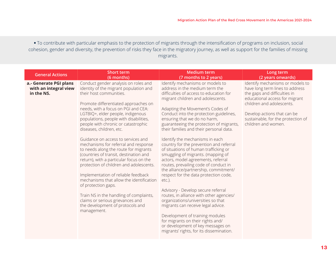**•** To contribute with particular emphasis to the protection of migrants through the intensification of programs on inclusion, social cohesion, gender and diversity, the prevention of risks they face in the migratory journey, as well as support for the families of missing migrants.

| <b>General Actions</b>                                        | <b>Short term</b>                                                                                                                                                                                                                                                                                                                                                                                                                                                                                                                                                                                                                                                                                                                                                                                                                             | <b>Medium term</b>                                                                                                                                                                                                                                                                                                                                                                                                                                                                                                                                                                                                                                                                                                                                                                                                                                                                                                                                                                                                      | Long term                                                                                                                                                                                                                                                      |
|---------------------------------------------------------------|-----------------------------------------------------------------------------------------------------------------------------------------------------------------------------------------------------------------------------------------------------------------------------------------------------------------------------------------------------------------------------------------------------------------------------------------------------------------------------------------------------------------------------------------------------------------------------------------------------------------------------------------------------------------------------------------------------------------------------------------------------------------------------------------------------------------------------------------------|-------------------------------------------------------------------------------------------------------------------------------------------------------------------------------------------------------------------------------------------------------------------------------------------------------------------------------------------------------------------------------------------------------------------------------------------------------------------------------------------------------------------------------------------------------------------------------------------------------------------------------------------------------------------------------------------------------------------------------------------------------------------------------------------------------------------------------------------------------------------------------------------------------------------------------------------------------------------------------------------------------------------------|----------------------------------------------------------------------------------------------------------------------------------------------------------------------------------------------------------------------------------------------------------------|
|                                                               | (6 months)                                                                                                                                                                                                                                                                                                                                                                                                                                                                                                                                                                                                                                                                                                                                                                                                                                    | (7 months to 2 years)                                                                                                                                                                                                                                                                                                                                                                                                                                                                                                                                                                                                                                                                                                                                                                                                                                                                                                                                                                                                   | (2 years onwards)                                                                                                                                                                                                                                              |
| a.- Generate PGI plans<br>with an integral view<br>in the NS. | Conduct gender analysis on roles and<br>identity of the migrant population and<br>their host communities.<br>Promote differentiated approaches on<br>needs, with a focus on PGI and CEA:<br>LGTBIQ+, elder people, indigenous<br>populations, people with disabilities,<br>people with chronic or catastrophic<br>diseases, children, etc.<br>Guidance on access to services and<br>mechanisms for referral and response<br>to needs along the route for migrants<br>(countries of transit, destination and<br>return), with a particular focus on the<br>protection of children and adolescents.<br>Implementation of reliable feedback<br>mechanisms that allow the identification<br>of protection gaps.<br>Train NS in the handling of complaints,<br>claims or serious grievances and<br>the development of protocols and<br>management. | Identify mechanisms or models to<br>address in the medium term the<br>difficulties of access to education for<br>migrant children and adolescents.<br>Adapting the Movement's Codes of<br>Conduct into the protection guidelines,<br>ensuring that we do no harm,<br>guaranteeing the protection of migrants,<br>their families and their personal data.<br>Identify the mechanisms in each<br>country for the prevention and referral<br>of situations of human trafficking or<br>smuggling of migrants. (mapping of<br>actors, model agreements, referral<br>routes, prevailing code of conduct in<br>the alliance/partnership, commitment/<br>respect for the data protection code,<br>etc.).<br>Advisory - Develop secure referral<br>routes, in alliance with other agencies/<br>organizations/universities so that<br>migrants can receive legal advice.<br>Development of training modules<br>for migrants on their rights and/<br>or development of key messages on<br>migrants' rights, for its dissemination. | Identify mechanisms or models to<br>have long term lines to address<br>the gaps and difficulties in<br>educational access for migrant<br>children and adolescents.<br>Develop actions that can be<br>sustainable, for the protection of<br>children and women. |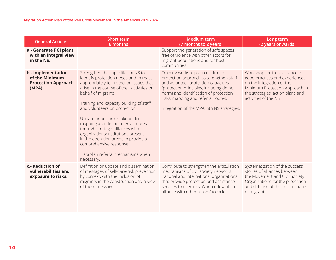| <b>General Actions</b>                                                       | <b>Short term</b><br>(6 months)                                                                                                                                                                                                                                                                                                                                                                                                                                                                                                                  | <b>Medium term</b><br>(7 months to 2 years)                                                                                                                                                                                                                                               | Long term<br>(2 years onwards)                                                                                                                                                             |
|------------------------------------------------------------------------------|--------------------------------------------------------------------------------------------------------------------------------------------------------------------------------------------------------------------------------------------------------------------------------------------------------------------------------------------------------------------------------------------------------------------------------------------------------------------------------------------------------------------------------------------------|-------------------------------------------------------------------------------------------------------------------------------------------------------------------------------------------------------------------------------------------------------------------------------------------|--------------------------------------------------------------------------------------------------------------------------------------------------------------------------------------------|
| a.- Generate PGI plans<br>with an integral view<br>in the NS.                |                                                                                                                                                                                                                                                                                                                                                                                                                                                                                                                                                  | Support the generation of safe spaces<br>free of violence with other actors for<br>migrant populations and for host<br>communities.                                                                                                                                                       |                                                                                                                                                                                            |
| b.- Implementation<br>of the Minimum<br><b>Protection Approach</b><br>(MPA). | Strengthen the capacities of NS to<br>identify protection needs and to react<br>appropriately to protection issues that<br>arise in the course of their activities on<br>behalf of migrants.<br>Training and capacity building of staff<br>and volunteers on protection.<br>Update or perform stakeholder<br>mapping and define referral routes<br>through strategic alliances with<br>organizations/institutions present<br>in the operation areas, to provide a<br>comprehensive response.<br>Establish referral mechanisms when<br>necessary. | Training workshops on minimum<br>protection approach to strengthen staff<br>and volunteer protection capacities<br>(protection principles, including do no<br>harm) and identification of protection<br>risks, mapping and referral routes.<br>Integration of the MPA into NS strategies. | Workshop for the exchange of<br>good practices and experiences<br>on the integration of the<br>Minimum Protection Approach in<br>the strategies, action plans and<br>activities of the NS. |
| c.- Reduction of<br>vulnerabilities and<br>exposure to risks.                | Definition or update and dissemination<br>of messages of self-care/risk prevention<br>by context, with the inclusion of<br>migrants in the construction and review<br>of these messages.                                                                                                                                                                                                                                                                                                                                                         | Contribute to strengthen the articulation<br>mechanisms of civil society networks,<br>national and international organizations<br>that provide protection and assistance<br>services to migrants. When relevant, in<br>alliance with other actors/agencies.                               | Systematization of the success<br>stories of alliances between<br>the Movement and Civil Society<br>Organizations for the protection<br>and defense of the human rights<br>of migrants.    |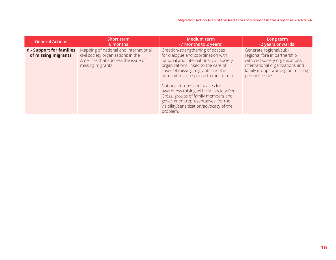| <b>General Actions</b>                          | <b>Short term</b>                                                                                                                      | <b>Medium term</b>                                                                                                                                                                                                                                                                                                                                                                                                                                             | Long term                                                                                                                                                                             |
|-------------------------------------------------|----------------------------------------------------------------------------------------------------------------------------------------|----------------------------------------------------------------------------------------------------------------------------------------------------------------------------------------------------------------------------------------------------------------------------------------------------------------------------------------------------------------------------------------------------------------------------------------------------------------|---------------------------------------------------------------------------------------------------------------------------------------------------------------------------------------|
|                                                 | (6 months)                                                                                                                             | (7 months to 2 years)                                                                                                                                                                                                                                                                                                                                                                                                                                          | (2 years onwards)                                                                                                                                                                     |
| d.- Support for families<br>of missing migrants | Mapping of national and international<br>civil society organizations in the<br>Americas that address the issue of<br>missing migrants. | Creation/strengthening of spaces<br>for dialogue and coordination with<br>national and international civil society<br>organizations linked to the care of<br>cases of missing migrants and the<br>humanitarian response to their families.<br>National forums and spaces for<br>awareness raising with civil society-Red<br>Cross, groups of family members and<br>government representatives, for the<br>visibility/sensitization/advocacy of the<br>problem. | Generate regional/sub-<br>regional fora in partnership<br>with civil society organizations,<br>international organizations and<br>family groups working on missing<br>persons issues. |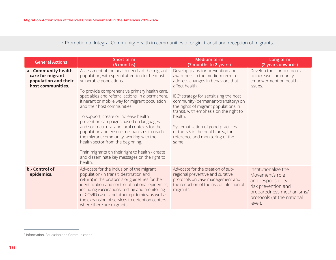#### • Promotion of Integral Community Health in communities of origin, transit and reception of migrants.

| <b>General Actions</b>                                                                | <b>Short term</b><br>(6 months)                                                                                                                                                                                                                                                                                                                                                                                                                                                                                                                                                                                                                                                                    | <b>Medium term</b><br>(7 months to 2 years)                                                                                                                                                                                                                                                                                                                                                                                                | Long term<br>(2 years onwards)                                                                                                                               |
|---------------------------------------------------------------------------------------|----------------------------------------------------------------------------------------------------------------------------------------------------------------------------------------------------------------------------------------------------------------------------------------------------------------------------------------------------------------------------------------------------------------------------------------------------------------------------------------------------------------------------------------------------------------------------------------------------------------------------------------------------------------------------------------------------|--------------------------------------------------------------------------------------------------------------------------------------------------------------------------------------------------------------------------------------------------------------------------------------------------------------------------------------------------------------------------------------------------------------------------------------------|--------------------------------------------------------------------------------------------------------------------------------------------------------------|
| a.- Community health<br>care for migrant<br>population and their<br>host communities. | Assessment of the health needs of the migrant<br>population, with special attention to the most<br>vulnerable populations.<br>To provide comprehensive primary health care,<br>specialties and referral actions, in a permanent,<br>itinerant or mobile way for migrant population<br>and their host communities.<br>To support, create or increase health<br>prevention campaigns based on languages<br>and socio-cultural and local contexts for the<br>population and ensure mechanisms to reach<br>the migrant community, working with the<br>health sector from the beginning.<br>Train migrants on their right to health / create<br>and disseminate key messages on the right to<br>health. | Develop plans for prevention and<br>awareness in the medium term to<br>address changes in behaviors that<br>affect health.<br>IEC <sup>6</sup> strategy for sensitizing the host<br>community (permanent/transitory) on<br>the rights of migrant populations in<br>transit, with emphasis on the right to<br>health.<br>Systematization of good practices<br>of the NS in the health area, for<br>reference and monitoring of the<br>same. | Develop tools or protocols<br>to increase community<br>empowerment on health<br>issues.                                                                      |
| b.- Control of<br>epidemics.                                                          | Advocate for the inclusion of the migrant<br>population (in transit, destination and<br>return) in the protocols or guidelines for the<br>identification and control of national epidemics,<br>including vaccinations, testing and monitoring<br>of COVID cases and other epidemics, as well as<br>the expansion of services to detention centers<br>where there are migrants.                                                                                                                                                                                                                                                                                                                     | Advocate for the creation of sub-<br>regional preventive and curative<br>protocols on case management and<br>the reduction of the risk of infection of<br>migrants.                                                                                                                                                                                                                                                                        | Institutionalize the<br>Movement's role<br>and responsibility in<br>risk prevention and<br>preparedness mechanisms/<br>protocols (at the national<br>level). |

<sup>6</sup> Information, Education and Communication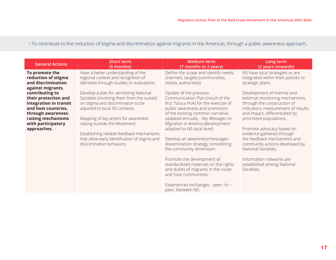• To contribute to the reduction of stigma and discrimination against migrants in the Americas, through a public awareness approach.

| <b>General Actions</b>                                                                                                                                                                                                                                        | <b>Short term</b>                                                                                                                                                                                                                                                                                                                                                                                                                                                                           | <b>Medium term</b>                                                                                                                                                                                                                                                                                                                                                                                                                                                                                                                                                                                                                                                                           | Long term                                                                                                                                                                                                                                                                                                                                                                                                                                                                                                                |
|---------------------------------------------------------------------------------------------------------------------------------------------------------------------------------------------------------------------------------------------------------------|---------------------------------------------------------------------------------------------------------------------------------------------------------------------------------------------------------------------------------------------------------------------------------------------------------------------------------------------------------------------------------------------------------------------------------------------------------------------------------------------|----------------------------------------------------------------------------------------------------------------------------------------------------------------------------------------------------------------------------------------------------------------------------------------------------------------------------------------------------------------------------------------------------------------------------------------------------------------------------------------------------------------------------------------------------------------------------------------------------------------------------------------------------------------------------------------------|--------------------------------------------------------------------------------------------------------------------------------------------------------------------------------------------------------------------------------------------------------------------------------------------------------------------------------------------------------------------------------------------------------------------------------------------------------------------------------------------------------------------------|
|                                                                                                                                                                                                                                                               | (6 months)                                                                                                                                                                                                                                                                                                                                                                                                                                                                                  | (7 months to 2 years)                                                                                                                                                                                                                                                                                                                                                                                                                                                                                                                                                                                                                                                                        | (2 years onwards)                                                                                                                                                                                                                                                                                                                                                                                                                                                                                                        |
| To promote the<br>reduction of stigma<br>and discrimination<br>against migrants,<br>contributing to<br>their protection and<br>integration in transit<br>and host countries,<br>through awareness-<br>raising mechanisms<br>with participatory<br>approaches. | Have a better understanding of the<br>regional context and recognition of<br>identities through studies or evaluations.<br>Develop a plan for sensitizing National<br>Societies (involving them from the outset)<br>on stigma and discrimination to be<br>adjusted to local NS contexts.<br>Mapping of key actors for awareness<br>raising outside the Movement.<br>Establishing reliable feedback mechanisms<br>that allow early identification of stigma and<br>discrimination behaviors. | Define the scope and identify needs,<br>channels, targets (communities,<br>media, authorities).<br>Update of the previous<br>Communication Plan (result of the<br>first Toluca PoA) for the exercise of<br>public awareness and promotion<br>of the existing common narrative,<br>updated annually - Key Messages on<br>Migration in America (development<br>adapted to NS local level).<br>Develop an awareness/messages<br>dissemination strategy considering<br>the community dimension.<br>Promote the development of<br>standardized materials on the rights<br>and duties of migrants in the route<br>and host communities.<br>Experiences exchanges - peer- to -<br>peer, between NS. | NS have local strategies or are<br>integrated within their policies or<br>strategic plans.<br>Development of internal and<br>external monitoring mechanisms,<br>through the construction of<br>indicators, measurement of results<br>and impact, differentiated by<br>prioritized populations.<br>Promote advocacy based on<br>evidence gathered through<br>the feedback mechanisms and<br>community actions developed by<br>National Societies.<br>Information networks are<br>established among National<br>Societies. |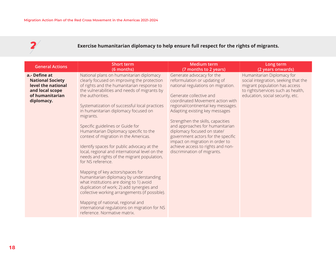

## **2**<br>**2** Exercise humanitarian diplomacy to help ensure full respect for the rights of migrants.

| <b>General Actions</b>                                                                                             | <b>Short term</b>                                                                                                                                                                                                                                                                                                                                                                                                                                                                                                                                                                                                                                                                                                                                                                                                                                                                                                                                         | <b>Medium term</b>                                                                                                                                                                                                                                                                                                                                                                                                                                                                         | Long term                                                                                                                                                                     |
|--------------------------------------------------------------------------------------------------------------------|-----------------------------------------------------------------------------------------------------------------------------------------------------------------------------------------------------------------------------------------------------------------------------------------------------------------------------------------------------------------------------------------------------------------------------------------------------------------------------------------------------------------------------------------------------------------------------------------------------------------------------------------------------------------------------------------------------------------------------------------------------------------------------------------------------------------------------------------------------------------------------------------------------------------------------------------------------------|--------------------------------------------------------------------------------------------------------------------------------------------------------------------------------------------------------------------------------------------------------------------------------------------------------------------------------------------------------------------------------------------------------------------------------------------------------------------------------------------|-------------------------------------------------------------------------------------------------------------------------------------------------------------------------------|
|                                                                                                                    | (6 months)                                                                                                                                                                                                                                                                                                                                                                                                                                                                                                                                                                                                                                                                                                                                                                                                                                                                                                                                                | (7 months to 2 years)                                                                                                                                                                                                                                                                                                                                                                                                                                                                      | (2 years onwards)                                                                                                                                                             |
| a.- Define at<br><b>National Society</b><br>level the national<br>and local scope<br>of humanitarian<br>diplomacy. | National plans on humanitarian diplomacy<br>clearly focused on improving the protection<br>of rights and the humanitarian response to<br>the vulnerabilities and needs of migrants by<br>the authorities.<br>Systematization of successful local practices<br>in humanitarian diplomacy focused on<br>migrants.<br>Specific guidelines or Guide for<br>Humanitarian Diplomacy specific to the<br>context of migration in the Americas.<br>Identify spaces for public advocacy at the<br>local, regional and international level on the<br>needs and rights of the migrant population,<br>for NS reference.<br>Mapping of key actors/spaces for<br>humanitarian diplomacy by understanding<br>what institutions are doing to 1) avoid<br>duplication of work; 2) add synergies and<br>collective working arrangements (if possible).<br>Mapping of national, regional and<br>international regulations on migration for NS<br>reference. Normative matrix. | Generate advocacy for the<br>reformulation or updating of<br>national regulations on migration.<br>Generate collective and<br>coordinated Movement action with<br>regional/continental key messages.<br>Adapting existing key messages<br>Strengthen the skills, capacities<br>and approaches for humanitarian<br>diplomacy focused on state/<br>government actors for the specific<br>impact on migration in order to<br>achieve access to rights and non-<br>discrimination of migrants. | Humanitarian Diplomacy for<br>social integration, seeking that the<br>migrant population has access<br>to rights/services such as health,<br>education, social security, etc. |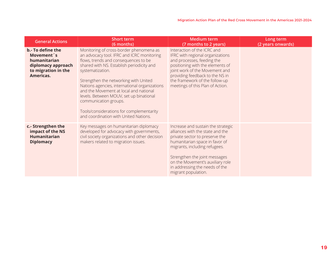| <b>General Actions</b>                                                                                    | <b>Short term</b><br>(6 months)                                                                                                                                                                                                                                                                                                                                                                                                                                                             | <b>Medium term</b><br>(7 months to 2 years)                                                                                                                                                                                                                                                               | Long term<br>(2 years onwards) |
|-----------------------------------------------------------------------------------------------------------|---------------------------------------------------------------------------------------------------------------------------------------------------------------------------------------------------------------------------------------------------------------------------------------------------------------------------------------------------------------------------------------------------------------------------------------------------------------------------------------------|-----------------------------------------------------------------------------------------------------------------------------------------------------------------------------------------------------------------------------------------------------------------------------------------------------------|--------------------------------|
| b.- To define the<br>Movement's<br>humanitarian<br>diplomacy approach<br>to migration in the<br>Americas. | Monitoring of cross-border phenomena as<br>an advocacy tool. IFRC and ICRC monitoring<br>flows, trends and consequences to be<br>shared with NS. Establish periodicity and<br>systematization.<br>Strengthen the networking with United<br>Nations agencies, international organizations<br>and the Movement at local and national<br>levels. Between MOUV, set up binational<br>communication groups.<br>Tools/considerations for complementarity<br>and coordination with United Nations. | Interaction of the ICRC and<br>IFRC with regional organizations<br>and processes, feeding the<br>positioning with the elements of<br>joint work of the Movement and<br>providing feedback to the NS in<br>the framework of the follow-up<br>meetings of this Plan of Action.                              |                                |
| c.- Strengthen the<br>impact of the NS<br><b>Humanitarian</b><br><b>Diplomacy</b>                         | Key messages on humanitarian diplomacy<br>developed for advocacy with governments,<br>civil society organizations and other decision<br>makers related to migration issues.                                                                                                                                                                                                                                                                                                                 | Increase and sustain the strategic<br>alliances with the state and the<br>private sector to preserve the<br>humanitarian space in favor of<br>migrants, including refugees.<br>Strengthen the joint messages<br>on the Movement's auxiliary role<br>in addressing the needs of the<br>migrant population. |                                |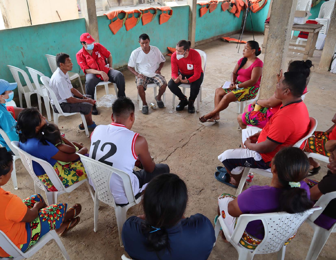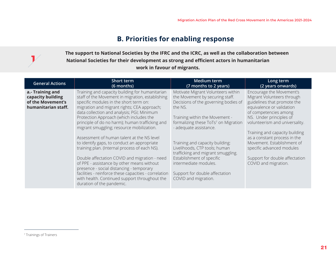## **B. Priorities for enabling response**

**1**

 **The support to National Societies by the IFRC and the ICRC, as well as the collaboration between National Societies for their development as strong and efficient actors in humanitarian work in favour of migrants.**

| <b>General Actions</b>                                                            | Short term                                                                                                                                                                                                                                                                                                                                                                                                                                                                                                                                                                                                                                                                                                                                                                                                            | Medium term                                                                                                                                                                                                                                                                                                                                                                                                                                            | Long term                                                                                                                                                                                                                                                                                                                                                                                       |
|-----------------------------------------------------------------------------------|-----------------------------------------------------------------------------------------------------------------------------------------------------------------------------------------------------------------------------------------------------------------------------------------------------------------------------------------------------------------------------------------------------------------------------------------------------------------------------------------------------------------------------------------------------------------------------------------------------------------------------------------------------------------------------------------------------------------------------------------------------------------------------------------------------------------------|--------------------------------------------------------------------------------------------------------------------------------------------------------------------------------------------------------------------------------------------------------------------------------------------------------------------------------------------------------------------------------------------------------------------------------------------------------|-------------------------------------------------------------------------------------------------------------------------------------------------------------------------------------------------------------------------------------------------------------------------------------------------------------------------------------------------------------------------------------------------|
|                                                                                   | (6 months)                                                                                                                                                                                                                                                                                                                                                                                                                                                                                                                                                                                                                                                                                                                                                                                                            | (7 months to 2 years)                                                                                                                                                                                                                                                                                                                                                                                                                                  | (2 years onwards)                                                                                                                                                                                                                                                                                                                                                                               |
| a.- Training and<br>capacity building<br>of the Movement's<br>humanitarian staff. | Training and capacity building for humanitarian<br>staff of the Movement in migration, establishing<br>specific modules in the short term on:<br>migration and migrant rights; CEA approach;<br>data collection and analysis; PGI; Minimum<br>Protection Approach (which includes the<br>principle of do no harm); human trafficking and<br>migrant smuggling; resource mobilization.<br>Assessment of human talent at the NS level<br>to identify gaps, to conduct an appropriate<br>training plan. (Internal process of each NS).<br>Double affectation COVID and migration - need<br>of PPE - assistance by other means without<br>presence - social distancing - temporary<br>facilities - reinforce these capacities - correlation<br>with health. Continued support throughout the<br>duration of the pandemic. | Motivate Migrant Volunteers within<br>the Movement by securing staff.<br>Decisions of the governing bodies of<br>the NS.<br>Training within the Movement -<br>formalizing these ToTs7 on Migration<br>- adequate assistance.<br>Training and capacity building:<br>Livelihoods, CTP tools; human<br>trafficking and migrant smuggling.<br>Establishment of specific<br>intermediate modules.<br>Support for double affectation<br>COVID and migration. | Encourage the Movement's<br>Migrant Volunteers through<br>guidelines that promote the<br>equivalence or validation<br>of competencies among<br>NS. Under principles of<br>volunteerism and universality.<br>Training and capacity building<br>as a constant process in the<br>Movement. Establishment of<br>specific advanced modules<br>Support for double affectation<br>COVID and migration. |

<sup>7</sup> Trainings of Trainers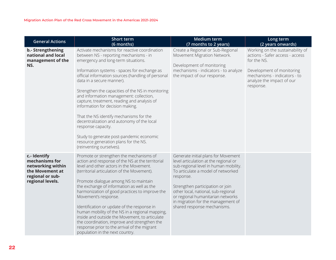| <b>General Actions</b>                                                                                         | Short term<br>(6 months)                                                                                                                                                                                                                                                                                                                                                                                                                                                                                                                                                                                                                                                             | Medium term<br>(7 months to 2 years)                                                                                                                                                                                                                                                                                                                          | Long term<br>(2 years onwards)                                                                                                                                                            |
|----------------------------------------------------------------------------------------------------------------|--------------------------------------------------------------------------------------------------------------------------------------------------------------------------------------------------------------------------------------------------------------------------------------------------------------------------------------------------------------------------------------------------------------------------------------------------------------------------------------------------------------------------------------------------------------------------------------------------------------------------------------------------------------------------------------|---------------------------------------------------------------------------------------------------------------------------------------------------------------------------------------------------------------------------------------------------------------------------------------------------------------------------------------------------------------|-------------------------------------------------------------------------------------------------------------------------------------------------------------------------------------------|
| b.- Strengthening<br>national and local<br>management of the<br>NS.                                            | Activate mechanisms for reactive coordination<br>between NS - reporting mechanisms - in<br>emergency and long-term situations.<br>Information systems - spaces for exchange as<br>official information sources (handling of personal<br>data in a secure manner).<br>Strengthen the capacities of the NS in monitoring<br>and information management: collection,<br>capture, treatment, reading and analysis of<br>information for decision making.<br>That the NS identify mechanisms for the<br>decentralization and autonomy of the local<br>response capacity.<br>Study to generate post-pandemic economic<br>resource generation plans for the NS.<br>(reinventing ourselves). | Create a Regional or Sub-Regional<br>Movement Migration Network.<br>Development of monitoring<br>mechanisms - indicators - to analyze<br>the impact of our response.                                                                                                                                                                                          | Working on the sustainability of<br>actions - Safer access - access<br>for the NS.<br>Development of monitoring<br>mechanisms - indicators - to<br>analyze the impact of our<br>response. |
| c.- Identify<br>mechanisms for<br>networking within<br>the Movement at<br>regional or sub-<br>regional levels. | Promote or strengthen the mechanisms of<br>action and response of the NS at the territorial<br>level and other actors in the Movement.<br>(territorial articulation of the Movement).<br>Promote dialogue among NS to maintain<br>the exchange of information as well as the<br>harmonization of good practices to improve the<br>Movement's response.<br>Identification or update of the response in<br>human mobility of the NS in a regional mapping,<br>inside and outside the Movement, to articulate<br>the coordination, improve and strengthen the<br>response prior to the arrival of the migrant<br>population in the next country.                                        | Generate initial plans for Movement<br>level articulation at the regional or<br>sub-regional level in human mobility.<br>To articulate a model of networked<br>response.<br>Strengthen participation or join<br>other local, national, sub-regional<br>or regional humanitarian networks<br>in migration for the management of<br>shared response mechanisms. |                                                                                                                                                                                           |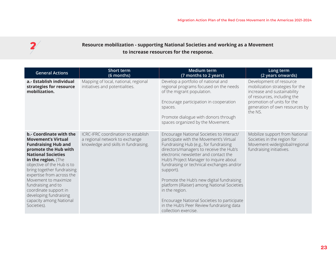

### **2**<br>**2** Resource mobilization - supporting National Societies and working as a Movement **to increase resources for the response.**

| <b>General Actions</b>                                                                                                                                                                                                                                                                                                                                                                             | Short term<br>(6 months)                                                                                      | Medium term<br>(7 months to 2 years)                                                                                                                                                                                                                                                                                                                                                                                                                                                                                                                     | Long term<br>(2 years onwards)                                                                                                                                                                      |
|----------------------------------------------------------------------------------------------------------------------------------------------------------------------------------------------------------------------------------------------------------------------------------------------------------------------------------------------------------------------------------------------------|---------------------------------------------------------------------------------------------------------------|----------------------------------------------------------------------------------------------------------------------------------------------------------------------------------------------------------------------------------------------------------------------------------------------------------------------------------------------------------------------------------------------------------------------------------------------------------------------------------------------------------------------------------------------------------|-----------------------------------------------------------------------------------------------------------------------------------------------------------------------------------------------------|
| a.- Establish individual<br>strategies for resource<br>mobilization.                                                                                                                                                                                                                                                                                                                               | Mapping of local, national, regional<br>initiatives and potentialities.                                       | Develop a portfolio of national and<br>regional programs focused on the needs<br>of the migrant population.<br>Encourage participation in cooperation<br>spaces.<br>Promote dialogue with donors through<br>spaces organized by the Movement.                                                                                                                                                                                                                                                                                                            | Development of resource<br>mobilization strategies for the<br>increase and sustainability<br>of resources, including the<br>promotion of units for the<br>generation of own resources by<br>the NS. |
| b.- Coordinate with the<br><b>Movement's Virtual</b><br><b>Fundraising Hub and</b><br>promote the Hub with<br><b>National Societies</b><br>in the region. (The<br>objective of the Hub is to<br>bring together fundraising<br>expertise from across the<br>Movement to maximize<br>fundraising and to<br>coordinate support in<br>developing fundraising<br>capacity among National<br>Societies). | ICRC-IFRC coordination to establish<br>a regional network to exchange<br>knowledge and skills in fundraising. | Encourage National Societies to interact/<br>participate with the Movement's Virtual<br>Fundraising Hub (e.g., for fundraising<br>directors/managers to receive the Hub's<br>electronic newsletter and contact the<br>Hub's Project Manager to inquire about<br>fundraising or technical exchanges and/or<br>support).<br>Promote the Hub's new digital fundraising<br>platform (iRaiser) among National Societies<br>in the region.<br>Encourage National Societies to participate<br>in the Hub's Peer Review fundraising data<br>collection exercise. | Mobilize support from National<br>Societies in the region for<br>Movement-wide/global/regional<br>fundraising initiatives.                                                                          |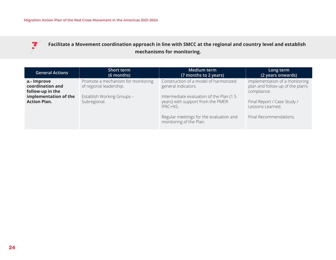

#### **Facilitate a Movement coordination approach in line with SMCC at the regional and country level and establish 3 mechanisms for monitoring.**

| <b>General Actions</b>                                                                              | Short term<br>(6 months)                                                                                    | Medium term<br>(7 months to 2 years)                                                                                                                       | Long term<br>(2 years onwards)                                                                                                       |
|-----------------------------------------------------------------------------------------------------|-------------------------------------------------------------------------------------------------------------|------------------------------------------------------------------------------------------------------------------------------------------------------------|--------------------------------------------------------------------------------------------------------------------------------------|
| a.- Improve<br>coordination and<br>follow-up in the<br>implementation of the<br><b>Action Plan.</b> | Promote a mechanism for monitoring<br>of regional leadership.<br>Establish Working Groups -<br>Subregional. | Construction of a model of harmonized<br>general indicators.<br>Intermediate evaluation of the Plan (1.5<br>years) with support from the PMER-<br>IFRC+NS. | Implementation of a monitoring<br>plan and follow-up of the plan's<br>compliance.<br>Final Report / Case Study /<br>Lessons Learned. |
|                                                                                                     |                                                                                                             | Regular meetings for the evaluation and<br>monitoring of the Plan.                                                                                         | Final Recommendations.                                                                                                               |